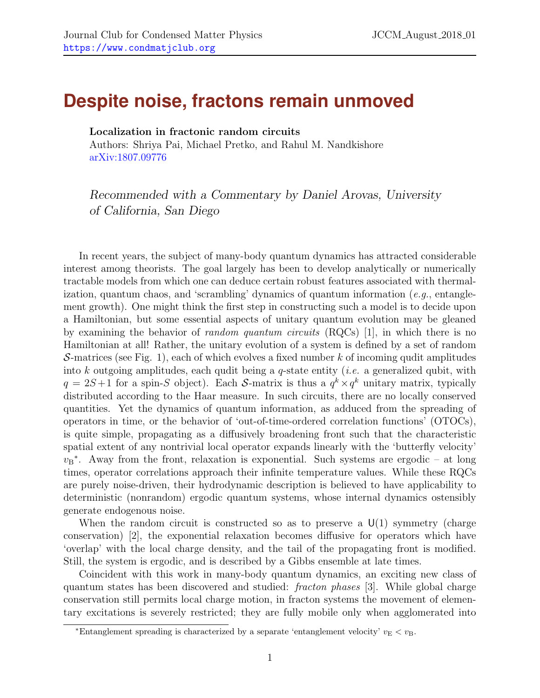## **Despite noise, fractons remain unmoved**

Localization in fractonic random circuits

Authors: Shriya Pai, Michael Pretko, and Rahul M. Nandkishore [arXiv:1807.09776](http://arxiv.org/pdf/1807.09776.pdf)

Recommended with a Commentary by Daniel Arovas, University of California, San Diego

In recent years, the subject of many-body quantum dynamics has attracted considerable interest among theorists. The goal largely has been to develop analytically or numerically tractable models from which one can deduce certain robust features associated with thermalization, quantum chaos, and 'scrambling' dynamics of quantum information (e.g., entanglement growth). One might think the first step in constructing such a model is to decide upon a Hamiltonian, but some essential aspects of unitary quantum evolution may be gleaned by examining the behavior of *random quantum circuits*  $(RQCs)$  [\[1\]](#page-3-0), in which there is no Hamiltonian at all! Rather, the unitary evolution of a system is defined by a set of random S-matrices (see Fig. [1\)](#page-1-0), each of which evolves a fixed number k of incoming qudit amplitudes into k outgoing amplitudes, each qudit being a q-state entity (*i.e.* a generalized qubit, with  $q = 2S+1$  for a spin-S object). Each S-matrix is thus a  $q^k \times q^k$  unitary matrix, typically distributed according to the Haar measure. In such circuits, there are no locally conserved quantities. Yet the dynamics of quantum information, as adduced from the spreading of operators in time, or the behavior of 'out-of-time-ordered correlation functions' (OTOCs), is quite simple, propagating as a diffusively broadening front such that the characteristic spatial extent of any nontrivial local operator expands linearly with the 'butterfly velocity'  $v_B^*$ . Away from the front, relaxation is exponential. Such systems are ergodic – at long times, operator correlations approach their infinite temperature values. While these RQCs are purely noise-driven, their hydrodynamic description is believed to have applicability to deterministic (nonrandom) ergodic quantum systems, whose internal dynamics ostensibly generate endogenous noise.

When the random circuit is constructed so as to preserve a  $U(1)$  symmetry (charge conservation) [\[2\]](#page-3-1), the exponential relaxation becomes diffusive for operators which have 'overlap' with the local charge density, and the tail of the propagating front is modified. Still, the system is ergodic, and is described by a Gibbs ensemble at late times.

Coincident with this work in many-body quantum dynamics, an exciting new class of quantum states has been discovered and studied: fracton phases [\[3\]](#page-3-2). While global charge conservation still permits local charge motion, in fracton systems the movement of elementary excitations is severely restricted; they are fully mobile only when agglomerated into

<span id="page-0-0"></span><sup>\*</sup>Entanglement spreading is characterized by a separate 'entanglement velocity'  $v_{\rm E} < v_{\rm B}$ .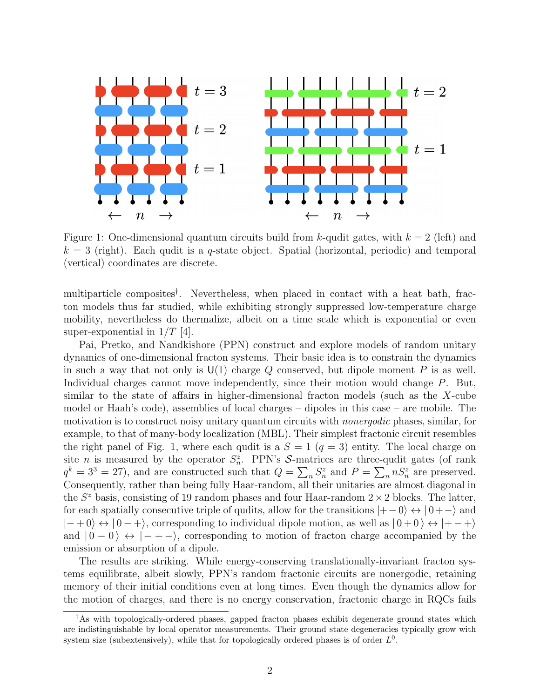

<span id="page-1-0"></span>Figure 1: One-dimensional quantum circuits build from k-qudit gates, with  $k = 2$  (left) and  $k = 3$  (right). Each qudit is a q-state object. Spatial (horizontal, periodic) and temporal (vertical) coordinates are discrete.

multiparticle composites[†](#page-1-1) . Nevertheless, when placed in contact with a heat bath, fracton models thus far studied, while exhibiting strongly suppressed low-temperature charge mobility, nevertheless do thermalize, albeit on a time scale which is exponential or even super-exponential in  $1/T$  [\[4\]](#page-3-3).

Pai, Pretko, and Nandkishore (PPN) construct and explore models of random unitary dynamics of one-dimensional fracton systems. Their basic idea is to constrain the dynamics in such a way that not only is  $U(1)$  charge Q conserved, but dipole moment P is as well. Individual charges cannot move independently, since their motion would change P. But, similar to the state of affairs in higher-dimensional fracton models (such as the X-cube model or Haah's code), assemblies of local charges – dipoles in this case – are mobile. The motivation is to construct noisy unitary quantum circuits with *nonergodic* phases, similar, for example, to that of many-body localization (MBL). Their simplest fractonic circuit resembles the right panel of Fig. [1,](#page-1-0) where each qudit is a  $S = 1$   $(q = 3)$  entity. The local charge on site *n* is measured by the operator  $S_n^z$ . PPN's S-matrices are three-qudit gates (of rank  $q^k = 3^3 = 27$ , and are constructed such that  $Q = \sum_n S_n^z$  and  $P = \sum_n nS_n^z$  are preserved. Consequently, rather than being fully Haar-random, all their unitaries are almost diagonal in the  $S^z$  basis, consisting of 19 random phases and four Haar-random  $2 \times 2$  blocks. The latter, for each spatially consecutive triple of qudits, allow for the transitions  $|+-0\rangle \leftrightarrow |0+-\rangle$  and  $|{-}+0\rangle \leftrightarrow |0-+\rangle$ , corresponding to individual dipole motion, as well as  $|0+0\rangle \leftrightarrow |+-+\rangle$ and  $|0-0\rangle \leftrightarrow |- + -\rangle$ , corresponding to motion of fracton charge accompanied by the emission or absorption of a dipole.

The results are striking. While energy-conserving translationally-invariant fracton systems equilibrate, albeit slowly, PPN's random fractonic circuits are nonergodic, retaining memory of their initial conditions even at long times. Even though the dynamics allow for the motion of charges, and there is no energy conservation, fractonic charge in RQCs fails

<span id="page-1-1"></span><sup>†</sup>As with topologically-ordered phases, gapped fracton phases exhibit degenerate ground states which are indistinguishable by local operator measurements. Their ground state degeneracies typically grow with system size (subextensively), while that for topologically ordered phases is of order  $L^0$ .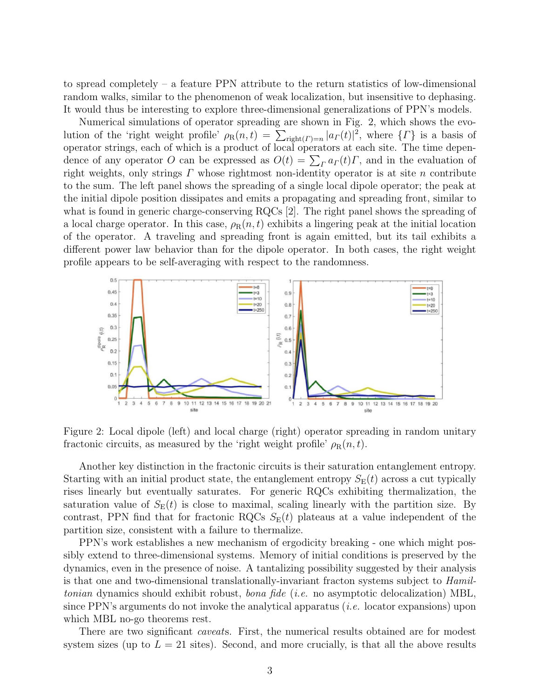to spread completely – a feature PPN attribute to the return statistics of low-dimensional random walks, similar to the phenomenon of weak localization, but insensitive to dephasing. It would thus be interesting to explore three-dimensional generalizations of PPN's models.

Numerical simulations of operator spreading are shown in Fig. [2,](#page-2-0) which shows the evolution of the 'right weight profile'  $\rho_R(n,t) = \sum_{\text{right}(T)=n} |a_T(t)|^2$ , where  $\{T\}$  is a basis of operator strings, each of which is a product of local operators at each site. The time dependence of any operator O can be expressed as  $O(t) = \sum_{\Gamma} a_{\Gamma}(t) \Gamma$ , and in the evaluation of right weights, only strings  $\Gamma$  whose rightmost non-identity operator is at site  $n$  contribute to the sum. The left panel shows the spreading of a single local dipole operator; the peak at the initial dipole position dissipates and emits a propagating and spreading front, similar to what is found in generic charge-conserving RQCs [\[2\]](#page-3-1). The right panel shows the spreading of a local charge operator. In this case,  $\rho_R(n, t)$  exhibits a lingering peak at the initial location of the operator. A traveling and spreading front is again emitted, but its tail exhibits a different power law behavior than for the dipole operator. In both cases, the right weight profile appears to be self-averaging with respect to the randomness.



<span id="page-2-0"></span>Figure 2: Local dipole (left) and local charge (right) operator spreading in random unitary fractonic circuits, as measured by the 'right weight profile'  $\rho_R(n,t)$ .

Another key distinction in the fractonic circuits is their saturation entanglement entropy. Starting with an initial product state, the entanglement entropy  $S_{\rm E}(t)$  across a cut typically rises linearly but eventually saturates. For generic RQCs exhibiting thermalization, the saturation value of  $S_{\rm E}(t)$  is close to maximal, scaling linearly with the partition size. By contrast, PPN find that for fractonic RQCs  $S_{\rm E}(t)$  plateaus at a value independent of the partition size, consistent with a failure to thermalize.

PPN's work establishes a new mechanism of ergodicity breaking - one which might possibly extend to three-dimensional systems. Memory of initial conditions is preserved by the dynamics, even in the presence of noise. A tantalizing possibility suggested by their analysis is that one and two-dimensional translationally-invariant fracton systems subject to Hamiltonian dynamics should exhibit robust, *bona fide* (*i.e.* no asymptotic delocalization) MBL, since PPN's arguments do not invoke the analytical apparatus (*i.e.* locator expansions) upon which MBL no-go theorems rest.

There are two significant *caveats*. First, the numerical results obtained are for modest system sizes (up to  $L = 21$  sites). Second, and more crucially, is that all the above results